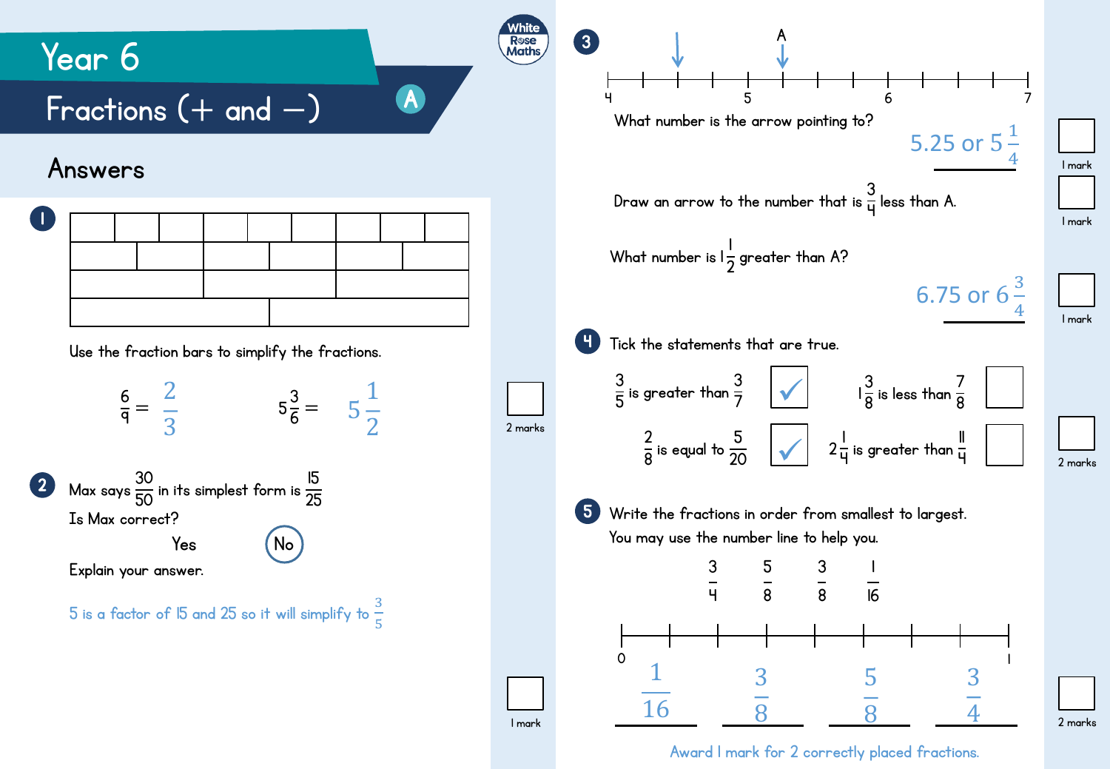

Award 1 mark for 2 correctly placed fractions.